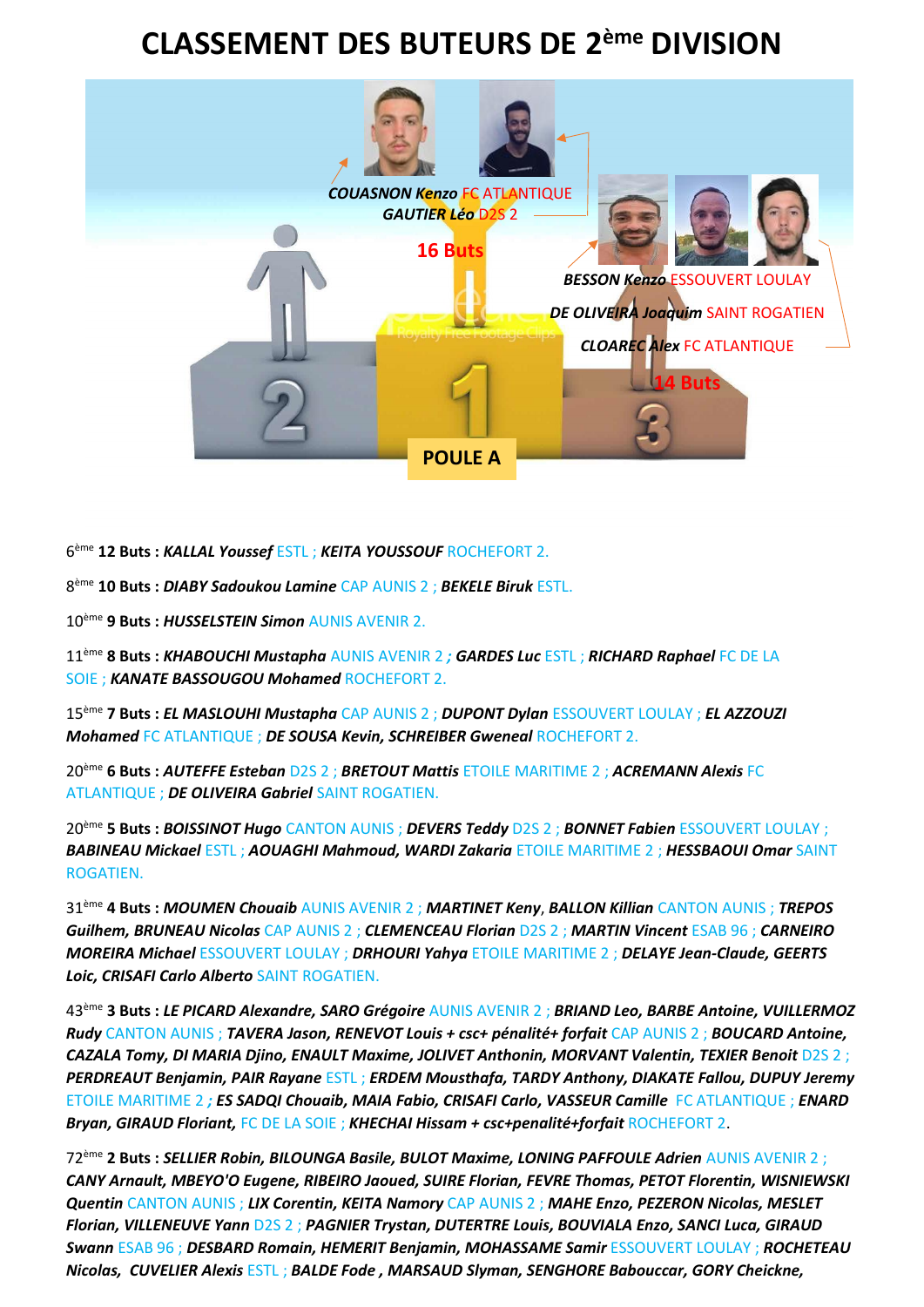## **CLASSEMENT DES BUTEURS DE 2ème DIVISION**



6 ème **12 Buts :** *KALLAL Youssef* ESTL ; *KEITA YOUSSOUF* ROCHEFORT 2.

8 ème **10 Buts :** *DIABY Sadoukou Lamine* CAP AUNIS 2 ; *BEKELE Biruk* ESTL.

10ème **9 Buts :** *HUSSELSTEIN Simon* AUNIS AVENIR 2.

11ème **8 Buts :** *KHABOUCHI Mustapha* AUNIS AVENIR 2 *; GARDES Luc* ESTL ; *RICHARD Raphael* FC DE LA SOIE ; *KANATE BASSOUGOU Mohamed* ROCHEFORT 2.

15ème **7 Buts :** *EL MASLOUHI Mustapha* CAP AUNIS 2 ; *DUPONT Dylan* ESSOUVERT LOULAY ; *EL AZZOUZI Mohamed* FC ATLANTIQUE ; *DE SOUSA Kevin, SCHREIBER Gweneal* ROCHEFORT 2.

20ème **6 Buts :** *AUTEFFE Esteban* D2S 2 ; *BRETOUT Mattis* ETOILE MARITIME 2 ; *ACREMANN Alexis* FC ATLANTIQUE ; *DE OLIVEIRA Gabriel* SAINT ROGATIEN.

20ème **5 Buts :** *BOISSINOT Hugo* CANTON AUNIS ; *DEVERS Teddy* D2S 2 ; *BONNET Fabien* ESSOUVERT LOULAY ; *BABINEAU Mickael* ESTL ; *AOUAGHI Mahmoud, WARDI Zakaria* ETOILE MARITIME 2 ; *HESSBAOUI Omar* SAINT ROGATIEN.

31ème **4 Buts :** *MOUMEN Chouaib* AUNIS AVENIR 2 ; *MARTINET Keny*, *BALLON Killian* CANTON AUNIS ; *TREPOS Guilhem, BRUNEAU Nicolas* CAP AUNIS 2 ; *CLEMENCEAU Florian* D2S 2 ; *MARTIN Vincent* ESAB 96 ; *CARNEIRO MOREIRA Michael* ESSOUVERT LOULAY ; *DRHOURI Yahya* ETOILE MARITIME 2 ; *DELAYE Jean-Claude, GEERTS Loic, CRISAFI Carlo Alberto* SAINT ROGATIEN.

43ème **3 Buts :** *LE PICARD Alexandre, SARO Grégoire* AUNIS AVENIR 2 ; *BRIAND Leo, BARBE Antoine, VUILLERMOZ Rudy* CANTON AUNIS ; *TAVERA Jason, RENEVOT Louis + csc+ pénalité+ forfait* CAP AUNIS 2 ; *BOUCARD Antoine, CAZALA Tomy, DI MARIA Djino, ENAULT Maxime, JOLIVET Anthonin, MORVANT Valentin, TEXIER Benoit* D2S 2 ; *PERDREAUT Benjamin, PAIR Rayane* ESTL ; *ERDEM Mousthafa, TARDY Anthony, DIAKATE Fallou, DUPUY Jeremy*  ETOILE MARITIME 2 *; ES SADQI Chouaib, MAIA Fabio, CRISAFI Carlo, VASSEUR Camille* FC ATLANTIQUE ; *ENARD Bryan, GIRAUD Floriant,* FC DE LA SOIE ; *KHECHAI Hissam + csc+penalité+forfait* ROCHEFORT 2.

72ème **2 Buts :** *SELLIER Robin, BILOUNGA Basile, BULOT Maxime, LONING PAFFOULE Adrien* AUNIS AVENIR 2 ; *CANY Arnault, MBEYO'O Eugene, RIBEIRO Jaoued, SUIRE Florian, FEVRE Thomas, PETOT Florentin, WISNIEWSKI Quentin* CANTON AUNIS ; *LIX Corentin, KEITA Namory* CAP AUNIS 2 ; *MAHE Enzo, PEZERON Nicolas, MESLET Florian, VILLENEUVE Yann* D2S 2 ; *PAGNIER Trystan, DUTERTRE Louis, BOUVIALA Enzo, SANCI Luca, GIRAUD Swann* ESAB 96 ; *DESBARD Romain, HEMERIT Benjamin, MOHASSAME Samir* ESSOUVERT LOULAY ; *ROCHETEAU Nicolas, CUVELIER Alexis* ESTL ; *BALDE Fode , MARSAUD Slyman, SENGHORE Babouccar, GORY Cheickne,*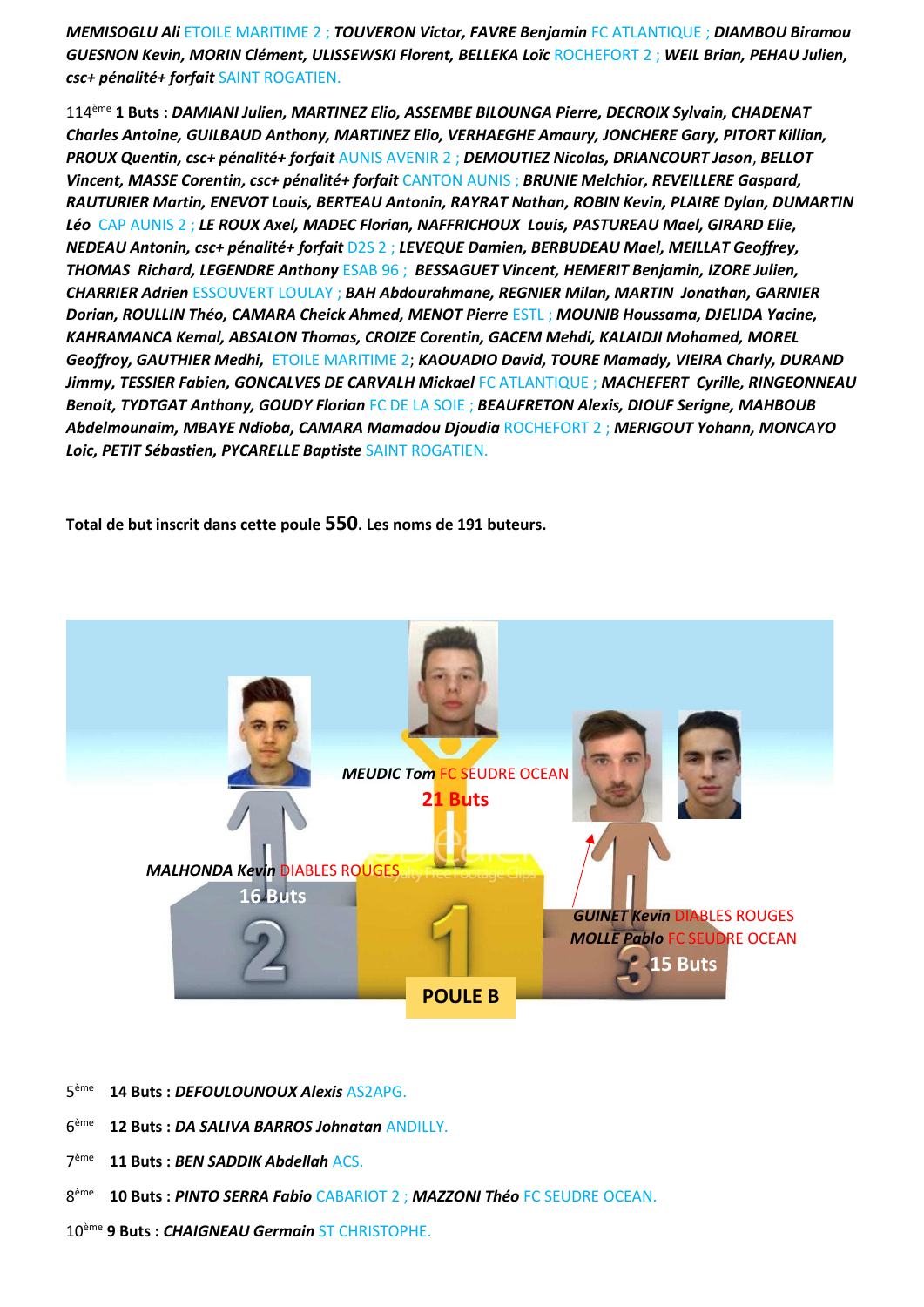**MEMISOGLU Ali ETOILE MARITIME 2: TOUVERON Victor, FAVRE Benjamin FC ATLANTIQUE : DIAMBOU Biramou** GUESNON Kevin, MORIN Clément, ULISSEWSKI Florent, BELLEKA Loïc ROCHEFORT 2 ; WEIL Brian, PEHAU Julien, csc+ pénalité+ forfait SAINT ROGATIEN.

114<sup>ème</sup> 1 Buts : DAMIANI Julien. MARTINEZ Elio. ASSEMBE BILOUNGA Pierre. DECROIX Sylvain. CHADENAT Charles Antoine, GUILBAUD Anthony, MARTINEZ Elio, VERHAEGHE Amaury, JONCHERE Gary, PITORT Killian, PROUX Quentin, csc+ pénalité+ forfait AUNIS AVENIR 2 ; DEMOUTIEZ Nicolas, DRIANCOURT Jason, BELLOT Vincent, MASSE Corentin, csc+ pénalité+ forfait CANTON AUNIS ; BRUNIE Melchior, REVEILLERE Gaspard, RAUTURIER Martin, ENEVOT Louis, BERTEAU Antonin, RAYRAT Nathan, ROBIN Kevin, PLAIRE Dylan, DUMARTIN Léo CAP AUNIS 2 ; LE ROUX Axel, MADEC Florian, NAFFRICHOUX Louis, PASTUREAU Mael, GIRARD Elie, NEDEAU Antonin, csc+ pénalité+ forfait D2S 2 ; LEVEQUE Damien, BERBUDEAU Mael, MEILLAT Geoffrey, THOMAS Richard, LEGENDRE Anthony ESAB 96; BESSAGUET Vincent, HEMERIT Benjamin, IZORE Julien, **CHARRIER Adrien ESSOUVERT LOULAY; BAH Abdourahmane, REGNIER Milan, MARTIN Jonathan, GARNIER** Dorian, ROULLIN Théo, CAMARA Cheick Ahmed, MENOT Pierre ESTL ; MOUNIB Houssama, DJELIDA Yacine, KAHRAMANCA Kemal, ABSALON Thomas, CROIZE Corentin, GACEM Mehdi, KALAIDJI Mohamed, MOREL Geoffroy, GAUTHIER Medhi, ETOILE MARITIME 2; KAOUADIO David, TOURE Mamady, VIEIRA Charly, DURAND Jimmy, TESSIER Fabien, GONCALVES DE CARVALH Mickael FC ATLANTIQUE ; MACHEFERT Cyrille, RINGEONNEAU Benoit, TYDTGAT Anthony, GOUDY Florian FC DE LA SOIE ; BEAUFRETON Alexis, DIOUF Serigne, MAHBOUB Abdelmounaim, MBAYE Ndioba, CAMARA Mamadou Djoudia ROCHEFORT 2 ; MERIGOUT Yohann, MONCAYO Loic, PETIT Sébastien, PYCARELLE Baptiste SAINT ROGATIEN.

Total de but inscrit dans cette poule 550. Les noms de 191 buteurs.



- $5e$ <sup>ème</sup> 14 Buts: DEFOULOUNOUX Alexis AS2APG.
- $6<sup>ème</sup>$ 12 Buts: DA SALIVA BARROS Johnatan ANDILLY.
- $7<sup>ème</sup>$ 11 Buts: BEN SADDIK Abdellah ACS.
- 8<sup>ème</sup> 10 Buts : PINTO SERRA Fabio CABARIOT 2 ; MAZZONI Théo FC SEUDRE OCEAN.
- 10<sup>ème</sup> 9 Buts : CHAIGNEAU Germain ST CHRISTOPHE.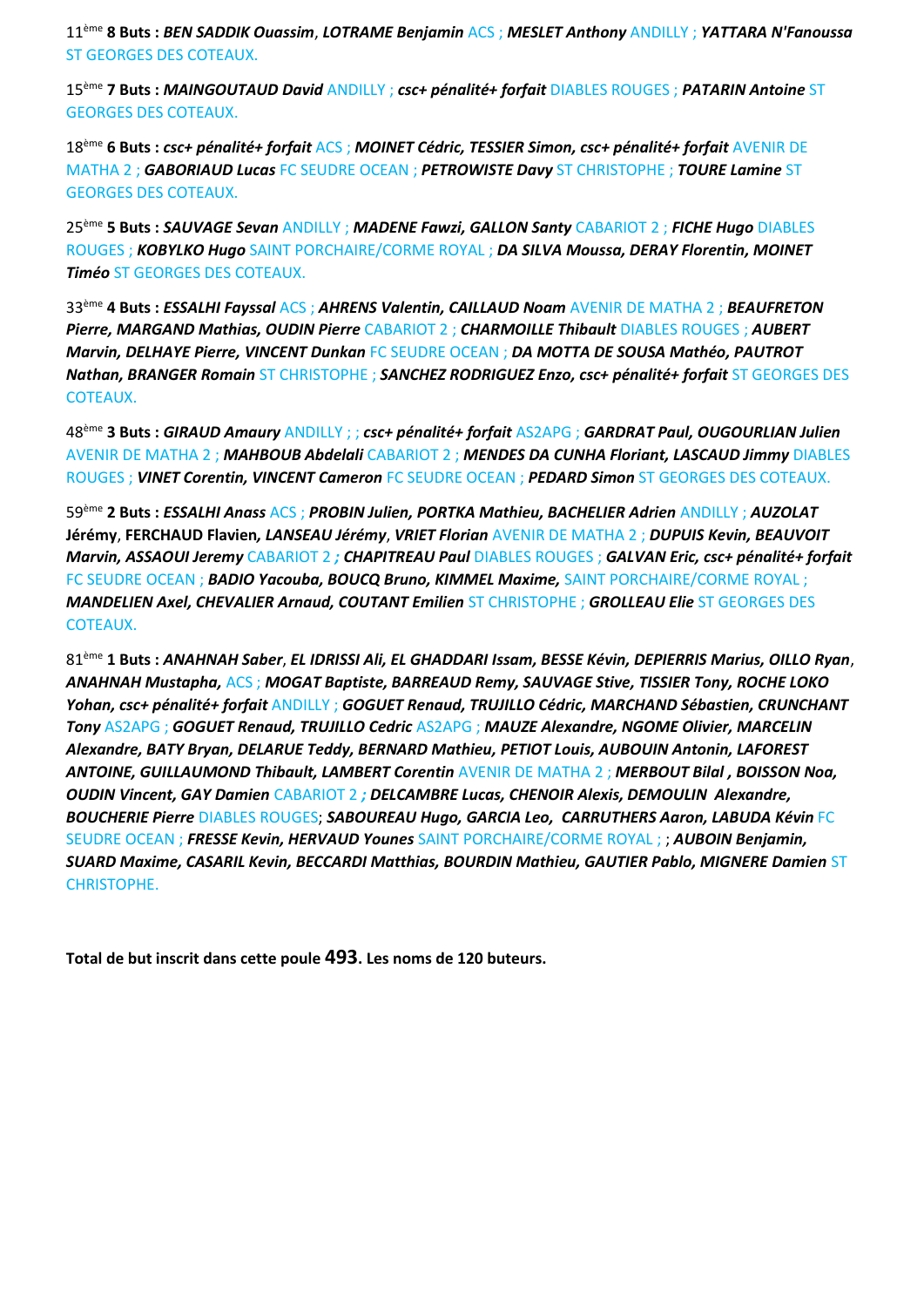11ème **8 Buts :** *BEN SADDIK Ouassim*, *LOTRAME Benjamin* ACS ; *MESLET Anthony* ANDILLY ; *YATTARA N'Fanoussa* ST GEORGES DES COTEAUX.

15ème **7 Buts :** *MAINGOUTAUD David* ANDILLY ; *csc+ pénalité+ forfait* DIABLES ROUGES ; *PATARIN Antoine* ST GEORGES DES COTEAUX.

18ème **6 Buts :** *csc+ pénalité+ forfait* ACS ; *MOINET Cédric, TESSIER Simon, csc+ pénalité+ forfait* AVENIR DE MATHA 2 ; *GABORIAUD Lucas* FC SEUDRE OCEAN ; *PETROWISTE Davy* ST CHRISTOPHE ; *TOURE Lamine* ST GEORGES DES COTEAUX.

25ème **5 Buts :** *SAUVAGE Sevan* ANDILLY ; *MADENE Fawzi, GALLON Santy* CABARIOT 2 ; *FICHE Hugo* DIABLES ROUGES ; *KOBYLKO Hugo* SAINT PORCHAIRE/CORME ROYAL ; *DA SILVA Moussa, DERAY Florentin, MOINET Timéo* ST GEORGES DES COTEAUX.

33ème **4 Buts :** *ESSALHI Fayssal* ACS ; *AHRENS Valentin, CAILLAUD Noam* AVENIR DE MATHA 2 ; *BEAUFRETON Pierre, MARGAND Mathias, OUDIN Pierre* CABARIOT 2 ; *CHARMOILLE Thibault* DIABLES ROUGES ; *AUBERT Marvin, DELHAYE Pierre, VINCENT Dunkan* FC SEUDRE OCEAN ; *DA MOTTA DE SOUSA Mathéo, PAUTROT Nathan, BRANGER Romain* ST CHRISTOPHE ; *SANCHEZ RODRIGUEZ Enzo, csc+ pénalité+ forfait* ST GEORGES DES COTEAUX.

48ème **3 Buts :** *GIRAUD Amaury* ANDILLY ; ; *csc+ pénalité+ forfait* AS2APG ; *GARDRAT Paul, OUGOURLIAN Julien*  AVENIR DE MATHA 2 ; *MAHBOUB Abdelali* CABARIOT 2 ; *MENDES DA CUNHA Floriant, LASCAUD Jimmy* DIABLES ROUGES ; *VINET Corentin, VINCENT Cameron* FC SEUDRE OCEAN ; *PEDARD Simon* ST GEORGES DES COTEAUX.

59ème **2 Buts :** *ESSALHI Anass* ACS ; *PROBIN Julien, PORTKA Mathieu, BACHELIER Adrien* ANDILLY ; *AUZOLAT* **Jérémy**, **FERCHAUD Flavien***, LANSEAU Jérémy*, *VRIET Florian* AVENIR DE MATHA 2 ; *DUPUIS Kevin, BEAUVOIT Marvin, ASSAOUI Jeremy* CABARIOT 2 *; CHAPITREAU Paul* DIABLES ROUGES ; *GALVAN Eric, csc+ pénalité+ forfait* FC SEUDRE OCEAN ; *BADIO Yacouba, BOUCQ Bruno, KIMMEL Maxime,* SAINT PORCHAIRE/CORME ROYAL ; *MANDELIEN Axel, CHEVALIER Arnaud, COUTANT Emilien* ST CHRISTOPHE ; *GROLLEAU Elie* ST GEORGES DES COTEAUX.

81ème **1 Buts :** *ANAHNAH Saber*, *EL IDRISSI Ali, EL GHADDARI Issam, BESSE Kévin, DEPIERRIS Marius, OILLO Ryan*, *ANAHNAH Mustapha,* ACS ; *MOGAT Baptiste, BARREAUD Remy, SAUVAGE Stive, TISSIER Tony, ROCHE LOKO Yohan, csc+ pénalité+ forfait* ANDILLY ; *GOGUET Renaud, TRUJILLO Cédric, MARCHAND Sébastien, CRUNCHANT Tony* AS2APG ; *GOGUET Renaud, TRUJILLO Cedric* AS2APG ; *MAUZE Alexandre, NGOME Olivier, MARCELIN Alexandre, BATY Bryan, DELARUE Teddy, BERNARD Mathieu, PETIOT Louis, AUBOUIN Antonin, LAFOREST ANTOINE, GUILLAUMOND Thibault, LAMBERT Corentin* AVENIR DE MATHA 2 ; *MERBOUT Bilal , BOISSON Noa, OUDIN Vincent, GAY Damien* CABARIOT 2 *; DELCAMBRE Lucas, CHENOIR Alexis, DEMOULIN Alexandre, BOUCHERIE Pierre* DIABLES ROUGES; *SABOUREAU Hugo, GARCIA Leo, CARRUTHERS Aaron, LABUDA Kévin* FC SEUDRE OCEAN ; *FRESSE Kevin, HERVAUD Younes* SAINT PORCHAIRE/CORME ROYAL ; ; *AUBOIN Benjamin, SUARD Maxime, CASARIL Kevin, BECCARDI Matthias, BOURDIN Mathieu, GAUTIER Pablo, MIGNERE Damien* ST CHRISTOPHE.

**Total de but inscrit dans cette poule 493. Les noms de 120 buteurs.**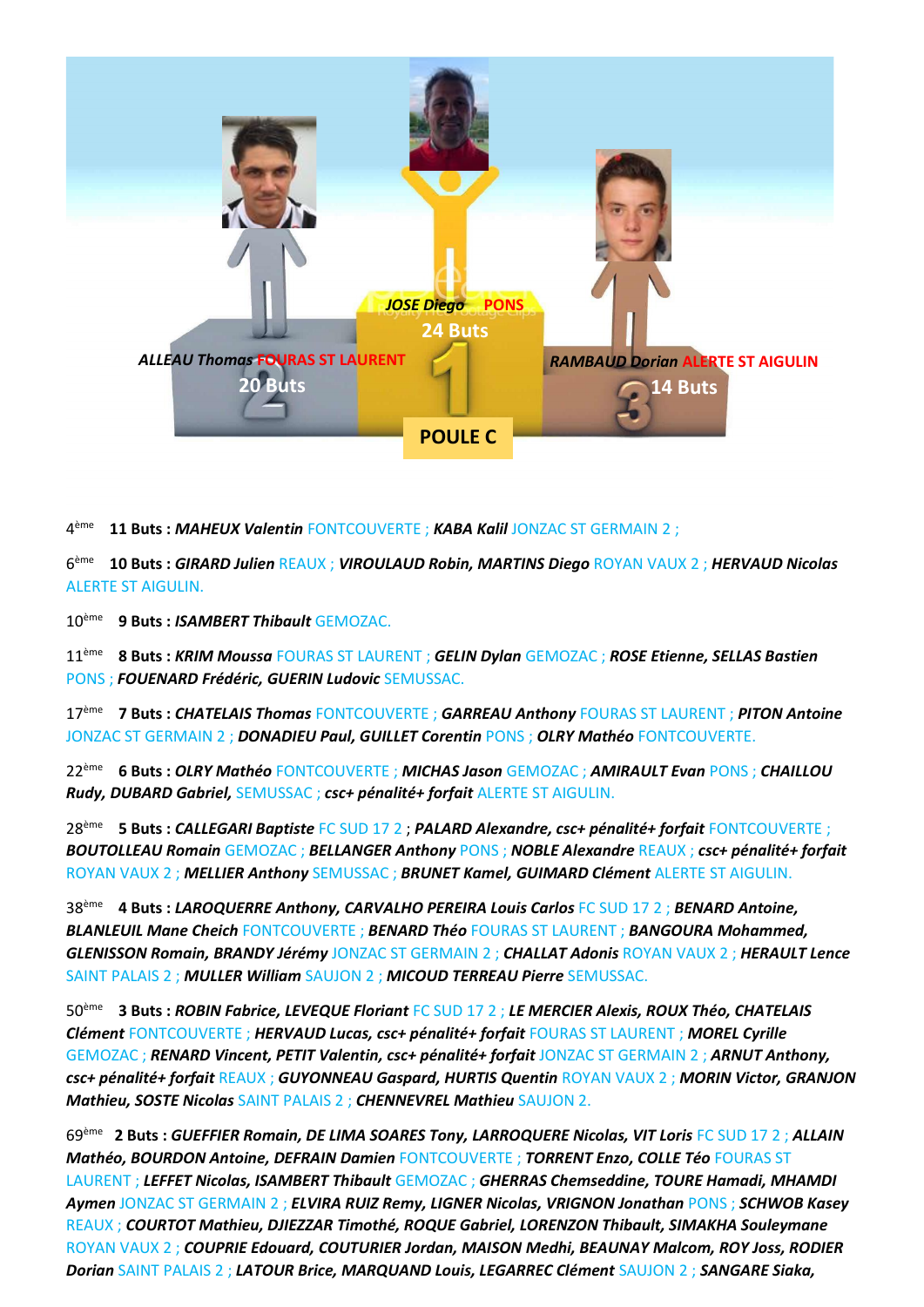

4 ème **11 Buts :** *MAHEUX Valentin* FONTCOUVERTE ; *KABA Kalil* JONZAC ST GERMAIN 2 ;

6 ème **10 Buts :** *GIRARD Julien* REAUX ; *VIROULAUD Robin, MARTINS Diego* ROYAN VAUX 2 ; *HERVAUD Nicolas*  ALERTE ST AIGULIN.

10ème **9 Buts :** *ISAMBERT Thibault* GEMOZAC.

11ème **8 Buts :** *KRIM Moussa* FOURAS ST LAURENT ; *GELIN Dylan* GEMOZAC ; *ROSE Etienne, SELLAS Bastien* PONS ; *FOUENARD Frédéric, GUERIN Ludovic* SEMUSSAC.

17ème **7 Buts :** *CHATELAIS Thomas* FONTCOUVERTE ; *GARREAU Anthony* FOURAS ST LAURENT ; *PITON Antoine* JONZAC ST GERMAIN 2 ; *DONADIEU Paul, GUILLET Corentin* PONS ; *OLRY Mathéo* FONTCOUVERTE.

22ème **6 Buts :** *OLRY Mathéo* FONTCOUVERTE ; *MICHAS Jason* GEMOZAC ; *AMIRAULT Evan* PONS ; *CHAILLOU Rudy, DUBARD Gabriel,* SEMUSSAC ; *csc+ pénalité+ forfait* ALERTE ST AIGULIN.

28ème **5 Buts :** *CALLEGARI Baptiste* FC SUD 17 2 ; *PALARD Alexandre, csc+ pénalité+ forfait* FONTCOUVERTE ; *BOUTOLLEAU Romain* GEMOZAC ; *BELLANGER Anthony* PONS ; *NOBLE Alexandre* REAUX ; *csc+ pénalité+ forfait*  ROYAN VAUX 2 ; *MELLIER Anthony* SEMUSSAC ; *BRUNET Kamel, GUIMARD Clément* ALERTE ST AIGULIN.

38ème **4 Buts :** *LAROQUERRE Anthony, CARVALHO PEREIRA Louis Carlos* FC SUD 17 2 ; *BENARD Antoine, BLANLEUIL Mane Cheich* FONTCOUVERTE ; *BENARD Théo* FOURAS ST LAURENT ; *BANGOURA Mohammed, GLENISSON Romain, BRANDY Jérémy* JONZAC ST GERMAIN 2 ; *CHALLAT Adonis* ROYAN VAUX 2 ; *HERAULT Lence* SAINT PALAIS 2 ; *MULLER William* SAUJON 2 ; *MICOUD TERREAU Pierre* SEMUSSAC.

50ème **3 Buts :** *ROBIN Fabrice, LEVEQUE Floriant* FC SUD 17 2 ; *LE MERCIER Alexis, ROUX Théo, CHATELAIS Clément* FONTCOUVERTE ; *HERVAUD Lucas, csc+ pénalité+ forfait* FOURAS ST LAURENT ; *MOREL Cyrille* GEMOZAC ; *RENARD Vincent, PETIT Valentin, csc+ pénalité+ forfait* JONZAC ST GERMAIN 2 ; *ARNUT Anthony, csc+ pénalité+ forfait* REAUX ; *GUYONNEAU Gaspard, HURTIS Quentin* ROYAN VAUX 2 ; *MORIN Victor, GRANJON Mathieu, SOSTE Nicolas* SAINT PALAIS 2 ; *CHENNEVREL Mathieu* SAUJON 2.

69ème **2 Buts :** *GUEFFIER Romain, DE LIMA SOARES Tony, LARROQUERE Nicolas, VIT Loris* FC SUD 17 2 ; *ALLAIN Mathéo, BOURDON Antoine, DEFRAIN Damien* FONTCOUVERTE ; *TORRENT Enzo, COLLE Téo* FOURAS ST LAURENT ; *LEFFET Nicolas, ISAMBERT Thibault* GEMOZAC ; *GHERRAS Chemseddine, TOURE Hamadi, MHAMDI Aymen* JONZAC ST GERMAIN 2 ; *ELVIRA RUIZ Remy, LIGNER Nicolas, VRIGNON Jonathan* PONS ; *SCHWOB Kasey* REAUX ; *COURTOT Mathieu, DJIEZZAR Timothé, ROQUE Gabriel, LORENZON Thibault, SIMAKHA Souleymane* ROYAN VAUX 2 ; *COUPRIE Edouard, COUTURIER Jordan, MAISON Medhi, BEAUNAY Malcom, ROY Joss, RODIER Dorian* SAINT PALAIS 2 ; *LATOUR Brice, MARQUAND Louis, LEGARREC Clément* SAUJON 2 ; *SANGARE Siaka,*